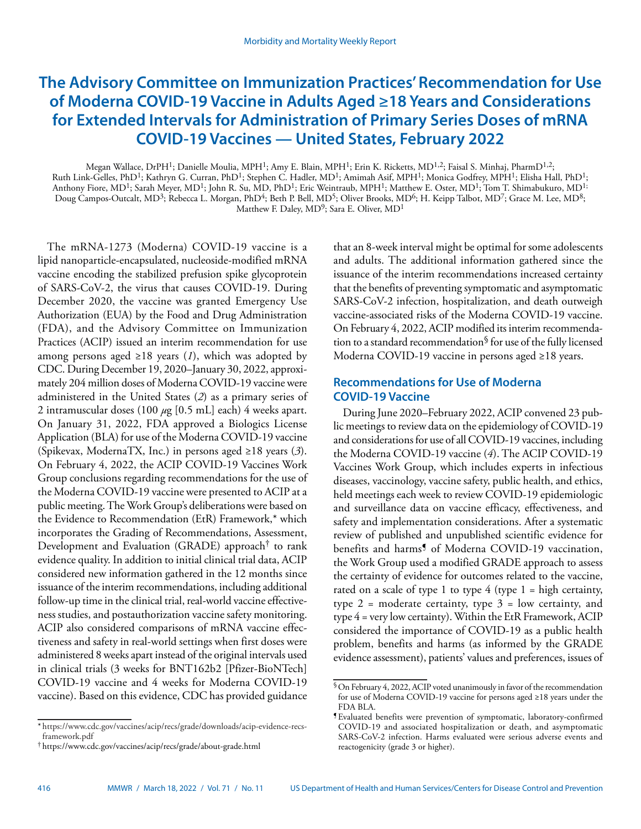# **The Advisory Committee on Immunization Practices' Recommendation for Use of Moderna COVID-19 Vaccine in Adults Aged ≥18 Years and Considerations for Extended Intervals for Administration of Primary Series Doses of mRNA COVID-19 Vaccines — United States, February 2022**

Megan Wallace, DrPH<sup>1</sup>; Danielle Moulia, MPH<sup>1</sup>; Amy E. Blain, MPH<sup>1</sup>; Erin K. Ricketts, MD<sup>1,2</sup>; Faisal S. Minhaj, PharmD<sup>1,2</sup>; Ruth Link-Gelles, PhD1; Kathryn G. Curran, PhD1; Stephen C. Hadler, MD1; Amimah Asif, MPH1; Monica Godfrey, MPH1; Elisha Hall, PhD1; Anthony Fiore, MD<sup>1</sup>; Sarah Meyer, MD<sup>1</sup>; John R. Su, MD, PhD<sup>1</sup>; Eric Weintraub, MPH<sup>1</sup>; Matthew E. Oster, MD<sup>1</sup>; Tom T. Shimabukuro, MD<sup>1;</sup> Doug Campos-Outcalt, MD<sup>3</sup>; Rebecca L. Morgan, PhD<sup>4</sup>; Beth P. Bell, MD<sup>5</sup>; Oliver Brooks, MD<sup>6</sup>; H. Keipp Talbot, MD<sup>7</sup>; Grace M. Lee, MD<sup>8</sup>; Matthew F. Daley, MD<sup>9</sup>; Sara E. Oliver, MD<sup>1</sup>

The mRNA-1273 (Moderna) COVID-19 vaccine is a lipid nanoparticle-encapsulated, nucleoside-modified mRNA vaccine encoding the stabilized prefusion spike glycoprotein of SARS-CoV-2, the virus that causes COVID-19. During December 2020, the vaccine was granted Emergency Use Authorization (EUA) by the Food and Drug Administration (FDA), and the Advisory Committee on Immunization Practices (ACIP) issued an interim recommendation for use among persons aged  $\geq 18$  years (*1*), which was adopted by CDC. During December 19, 2020–January 30, 2022, approximately 204 million doses of Moderna COVID-19 vaccine were administered in the United States (*2*) as a primary series of 2 intramuscular doses (100 *μ*g [0.5 mL] each) 4 weeks apart. On January 31, 2022, FDA approved a Biologics License Application (BLA) for use of the Moderna COVID-19 vaccine (Spikevax, ModernaTX, Inc.) in persons aged ≥18 years (*3*). On February 4, 2022, the ACIP COVID-19 Vaccines Work Group conclusions regarding recommendations for the use of the Moderna COVID-19 vaccine were presented to ACIP at a public meeting. The Work Group's deliberations were based on the Evidence to Recommendation (EtR) Framework,\* which incorporates the Grading of Recommendations, Assessment, Development and Evaluation (GRADE) approach<sup> $\dagger$ </sup> to rank evidence quality. In addition to initial clinical trial data, ACIP considered new information gathered in the 12 months since issuance of the interim recommendations, including additional follow-up time in the clinical trial, real-world vaccine effectiveness studies, and postauthorization vaccine safety monitoring. ACIP also considered comparisons of mRNA vaccine effectiveness and safety in real-world settings when first doses were administered 8 weeks apart instead of the original intervals used in clinical trials (3 weeks for BNT162b2 [Pfizer-BioNTech] COVID-19 vaccine and 4 weeks for Moderna COVID-19 vaccine). Based on this evidence, CDC has provided guidance

\* [https://www.cdc.gov/vaccines/acip/recs/grade/downloads/acip-evidence-recs](https://www.cdc.gov/vaccines/acip/recs/grade/downloads/acip-evidence-recs-framework.pdf)[framework.pdf](https://www.cdc.gov/vaccines/acip/recs/grade/downloads/acip-evidence-recs-framework.pdf)

that an 8-week interval might be optimal for some adolescents and adults. The additional information gathered since the issuance of the interim recommendations increased certainty that the benefits of preventing symptomatic and asymptomatic SARS-CoV-2 infection, hospitalization, and death outweigh vaccine-associated risks of the Moderna COVID-19 vaccine. On February 4, 2022, ACIP modified its interim recommendation to a standard recommendation§ for use of the fully licensed Moderna COVID-19 vaccine in persons aged ≥18 years.

## **Recommendations for Use of Moderna COVID-19 Vaccine**

During June 2020–February 2022, ACIP convened 23 public meetings to review data on the epidemiology of COVID-19 and considerations for use of all COVID-19 vaccines, including the Moderna COVID-19 vaccine (*4*). The ACIP COVID-19 Vaccines Work Group, which includes experts in infectious diseases, vaccinology, vaccine safety, public health, and ethics, held meetings each week to review COVID-19 epidemiologic and surveillance data on vaccine efficacy, effectiveness, and safety and implementation considerations. After a systematic review of published and unpublished scientific evidence for benefits and harms<sup>9</sup> of Moderna COVID-19 vaccination, the Work Group used a modified GRADE approach to assess the certainty of evidence for outcomes related to the vaccine, rated on a scale of type 1 to type  $4$  (type  $1 =$  high certainty, type  $2$  = moderate certainty, type  $3$  = low certainty, and type 4 = very low certainty). Within the EtR Framework, ACIP considered the importance of COVID-19 as a public health problem, benefits and harms (as informed by the GRADE evidence assessment), patients' values and preferences, issues of

<sup>†</sup> <https://www.cdc.gov/vaccines/acip/recs/grade/about-grade.html>

 $\,$  On February 4, 2022, ACIP voted unanimously in favor of the recommendation for use of Moderna COVID-19 vaccine for persons aged ≥18 years under the FDA BLA.

<sup>¶</sup>Evaluated benefits were prevention of symptomatic, laboratory-confirmed COVID-19 and associated hospitalization or death, and asymptomatic SARS-CoV-2 infection. Harms evaluated were serious adverse events and reactogenicity (grade 3 or higher).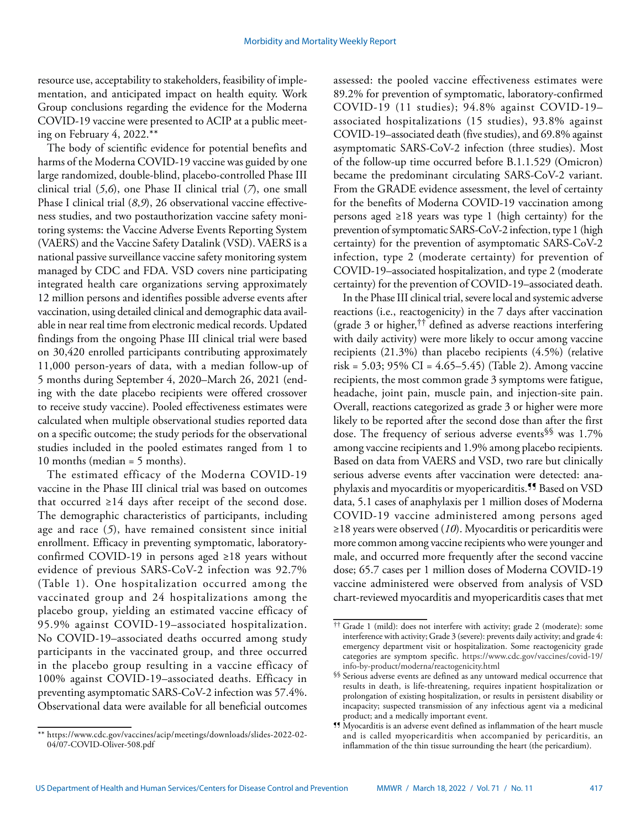resource use, acceptability to stakeholders, feasibility of implementation, and anticipated impact on health equity. Work Group conclusions regarding the evidence for the Moderna COVID-19 vaccine were presented to ACIP at a public meeting on February 4, 2022.\*\*

The body of scientific evidence for potential benefits and harms of the Moderna COVID-19 vaccine was guided by one large randomized, double-blind, placebo-controlled Phase III clinical trial (*5*,*6*), one Phase II clinical trial (*7*), one small Phase I clinical trial (8,9), 26 observational vaccine effectiveness studies, and two postauthorization vaccine safety monitoring systems: the Vaccine Adverse Events Reporting System (VAERS) and the Vaccine Safety Datalink (VSD). VAERS is a national passive surveillance vaccine safety monitoring system managed by CDC and FDA. VSD covers nine participating integrated health care organizations serving approximately 12 million persons and identifies possible adverse events after vaccination, using detailed clinical and demographic data available in near real time from electronic medical records. Updated findings from the ongoing Phase III clinical trial were based on 30,420 enrolled participants contributing approximately 11,000 person-years of data, with a median follow-up of 5 months during September 4, 2020–March 26, 2021 (ending with the date placebo recipients were offered crossover to receive study vaccine). Pooled effectiveness estimates were calculated when multiple observational studies reported data on a specific outcome; the study periods for the observational studies included in the pooled estimates ranged from 1 to 10 months (median = 5 months).

The estimated efficacy of the Moderna COVID-19 vaccine in the Phase III clinical trial was based on outcomes that occurred  $\geq 14$  days after receipt of the second dose. The demographic characteristics of participants, including age and race (*5*), have remained consistent since initial enrollment. Efficacy in preventing symptomatic, laboratoryconfirmed COVID-19 in persons aged ≥18 years without evidence of previous SARS-CoV-2 infection was 92.7% (Table 1). One hospitalization occurred among the vaccinated group and 24 hospitalizations among the placebo group, yielding an estimated vaccine efficacy of 95.9% against COVID-19–associated hospitalization. No COVID-19–associated deaths occurred among study participants in the vaccinated group, and three occurred in the placebo group resulting in a vaccine efficacy of 100% against COVID-19–associated deaths. Efficacy in preventing asymptomatic SARS-CoV-2 infection was 57.4%. Observational data were available for all beneficial outcomes

assessed: the pooled vaccine effectiveness estimates were 89.2% for prevention of symptomatic, laboratory-confirmed COVID-19 (11 studies); 94.8% against COVID-19– associated hospitalizations (15 studies), 93.8% against COVID-19–associated death (five studies), and 69.8% against asymptomatic SARS-CoV-2 infection (three studies). Most of the follow-up time occurred before B.1.1.529 (Omicron) became the predominant circulating SARS-CoV-2 variant. From the GRADE evidence assessment, the level of certainty for the benefits of Moderna COVID-19 vaccination among persons aged ≥18 years was type 1 (high certainty) for the prevention of symptomatic SARS-CoV-2 infection, type 1 (high certainty) for the prevention of asymptomatic SARS-CoV-2 infection, type 2 (moderate certainty) for prevention of COVID-19–associated hospitalization, and type 2 (moderate certainty) for the prevention of COVID-19–associated death.

In the Phase III clinical trial, severe local and systemic adverse reactions (i.e., reactogenicity) in the 7 days after vaccination (grade 3 or higher,  $\dagger$ <sup>††</sup> defined as adverse reactions interfering with daily activity) were more likely to occur among vaccine recipients (21.3%) than placebo recipients (4.5%) (relative risk = 5.03; 95% CI =  $4.65-5.45$ ) (Table 2). Among vaccine recipients, the most common grade 3 symptoms were fatigue, headache, joint pain, muscle pain, and injection-site pain. Overall, reactions categorized as grade 3 or higher were more likely to be reported after the second dose than after the first dose. The frequency of serious adverse events§§ was 1.7% among vaccine recipients and 1.9% among placebo recipients. Based on data from VAERS and VSD, two rare but clinically serious adverse events after vaccination were detected: anaphylaxis and myocarditis or myopericarditis.<sup>99</sup> Based on VSD data, 5.1 cases of anaphylaxis per 1 million doses of Moderna COVID-19 vaccine administered among persons aged ≥18 years were observed (*10*). Myocarditis or pericarditis were more common among vaccine recipients who were younger and male, and occurred more frequently after the second vaccine dose; 65.7 cases per 1 million doses of Moderna COVID-19 vaccine administered were observed from analysis of VSD chart-reviewed myocarditis and myopericarditis cases that met

<sup>\*\*</sup> [https://www.cdc.gov/vaccines/acip/meetings/downloads/slides-2022-02-](https://www.cdc.gov/vaccines/acip/meetings/downloads/slides-2022-02-04/07-COVID-Oliver-508.pdf) [04/07-COVID-Oliver-508.pdf](https://www.cdc.gov/vaccines/acip/meetings/downloads/slides-2022-02-04/07-COVID-Oliver-508.pdf)

<sup>††</sup> Grade 1 (mild): does not interfere with activity; grade 2 (moderate): some interference with activity; Grade 3 (severe): prevents daily activity; and grade 4: emergency department visit or hospitalization. Some reactogenicity grade categories are symptom specific. [https://www.cdc.gov/vaccines/covid-19/](https://www.cdc.gov/vaccines/covid-19/info-by-product/moderna/reactogenicity.html) [info-by-product/moderna/reactogenicity.html](https://www.cdc.gov/vaccines/covid-19/info-by-product/moderna/reactogenicity.html)

<sup>§§</sup> Serious adverse events are defined as any untoward medical occurrence that results in death, is life-threatening, requires inpatient hospitalization or prolongation of existing hospitalization, or results in persistent disability or incapacity; suspected transmission of any infectious agent via a medicinal product; and a medically important event.

<sup>¶¶</sup> Myocarditis is an adverse event defined as inflammation of the heart muscle and is called myopericarditis when accompanied by pericarditis, an inflammation of the thin tissue surrounding the heart (the pericardium).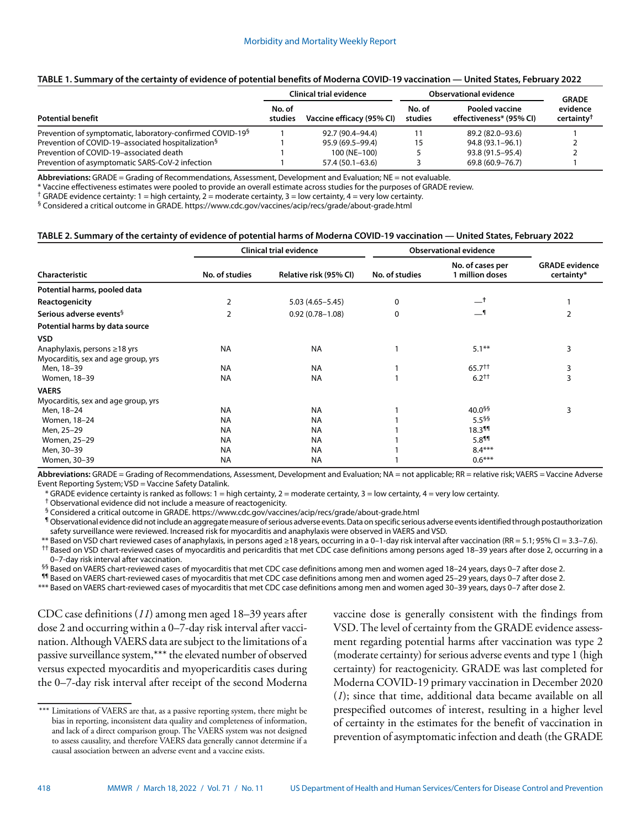#### **TABLE 1. Summary of the certainty of evidence of potential benefits of Moderna COVID-19 vaccination — United States, February 2022**

|                                                                       | Clinical trial evidence |                           | <b>Observational evidence</b> |                                                  | <b>GRADE</b>                       |
|-----------------------------------------------------------------------|-------------------------|---------------------------|-------------------------------|--------------------------------------------------|------------------------------------|
| <b>Potential benefit</b>                                              | No. of<br>studies       | Vaccine efficacy (95% CI) | No. of<br>studies             | <b>Pooled vaccine</b><br>effectiveness* (95% CI) | evidence<br>certainty <sup>†</sup> |
| Prevention of symptomatic, laboratory-confirmed COVID-19 <sup>§</sup> |                         | 92.7 (90.4-94.4)          |                               | 89.2 (82.0-93.6)                                 |                                    |
| Prevention of COVID-19-associated hospitalization <sup>§</sup>        |                         | 95.9 (69.5–99.4)          | 15                            | $94.8(93.1 - 96.1)$                              |                                    |
| Prevention of COVID-19-associated death                               |                         | 100 (NE-100)              |                               | 93.8 (91.5-95.4)                                 |                                    |
| Prevention of asymptomatic SARS-CoV-2 infection                       |                         | 57.4 (50.1-63.6)          |                               | 69.8 (60.9 - 76.7)                               |                                    |

**Abbreviations:** GRADE = Grading of Recommendations, Assessment, Development and Evaluation; NE = not evaluable.

\* Vaccine effectiveness estimates were pooled to provide an overall estimate across studies for the purposes of GRADE review.

<sup>†</sup> GRADE evidence certainty: 1 = high certainty, 2 = moderate certainty, 3 = low certainty, 4 = very low certainty.

§ Considered a critical outcome in GRADE. <https://www.cdc.gov/vaccines/acip/recs/grade/about-grade.html>

#### **TABLE 2. Summary of the certainty of evidence of potential harms of Moderna COVID-19 vaccination — United States, February 2022**

|                                     |                | <b>Clinical trial evidence</b> | <b>Observational evidence</b> |                                     |                                     |
|-------------------------------------|----------------|--------------------------------|-------------------------------|-------------------------------------|-------------------------------------|
| Characteristic                      | No. of studies | Relative risk (95% CI)         | No. of studies                | No. of cases per<br>1 million doses | <b>GRADE</b> evidence<br>certainty* |
| Potential harms, pooled data        |                |                                |                               |                                     |                                     |
| Reactogenicity                      | 2              | $5.03(4.65 - 5.45)$            | 0                             | ᅳ†                                  |                                     |
| Serious adverse events <sup>§</sup> | 2              | $0.92(0.78 - 1.08)$            | 0                             |                                     | 2                                   |
| Potential harms by data source      |                |                                |                               |                                     |                                     |
| <b>VSD</b>                          |                |                                |                               |                                     |                                     |
| Anaphylaxis, persons ≥18 yrs        | <b>NA</b>      | <b>NA</b>                      |                               | $5.1***$                            | 3                                   |
| Myocarditis, sex and age group, yrs |                |                                |                               |                                     |                                     |
| Men, 18-39                          | <b>NA</b>      | <b>NA</b>                      |                               | $65.7++$                            | 3                                   |
| Women, 18-39                        | <b>NA</b>      | <b>NA</b>                      |                               | $6.2^{++}$                          | 3                                   |
| <b>VAERS</b>                        |                |                                |                               |                                     |                                     |
| Myocarditis, sex and age group, yrs |                |                                |                               |                                     |                                     |
| Men, 18-24                          | <b>NA</b>      | <b>NA</b>                      |                               | $40.0^{55}$                         | 3                                   |
| Women, 18-24                        | <b>NA</b>      | <b>NA</b>                      |                               | $5.5^{55}$                          |                                     |
| Men, 25-29                          | <b>NA</b>      | <b>NA</b>                      |                               | $18.3$ <sup>11</sup>                |                                     |
| Women, 25-29                        | <b>NA</b>      | <b>NA</b>                      |                               | $5.8$ <sup>11</sup>                 |                                     |
| Men, 30-39                          | <b>NA</b>      | <b>NA</b>                      |                               | $8.4***$                            |                                     |
| Women, 30-39                        | <b>NA</b>      | <b>NA</b>                      |                               | $0.6***$                            |                                     |

**Abbreviations:** GRADE = Grading of Recommendations, Assessment, Development and Evaluation; NA = not applicable; RR = relative risk; VAERS = Vaccine Adverse Event Reporting System; VSD = Vaccine Safety Datalink.

\* GRADE evidence certainty is ranked as follows: 1 = high certainty, 2 = moderate certainty, 3 = low certainty, 4 = very low certainty.

† Observational evidence did not include a measure of reactogenicity.

§ Considered a critical outcome in GRADE. <https://www.cdc.gov/vaccines/acip/recs/grade/about-grade.html>

¶ Observational evidence did not include an aggregate measure of serious adverse events. Data on specific serious adverse events identified through postauthorization safety surveillance were reviewed. Increased risk for myocarditis and anaphylaxis were observed in VAERS and VSD.

\*\* Based on VSD chart reviewed cases of anaphylaxis, in persons aged ≥18 years, occurring in a 0–1-day risk interval after vaccination (RR = 5.1; 95% CI = 3.3–7.6). †† Based on VSD chart-reviewed cases of myocarditis and pericarditis that met CDC case definitions among persons aged 18–39 years after dose 2, occurring in a

0–7-day risk interval after vaccination. §§ Based on VAERS chart-reviewed cases of myocarditis that met CDC case definitions among men and women aged 18-24 years, days 0-7 after dose 2.

¶¶ Based on VAERS chart-reviewed cases of myocarditis that met CDC case definitions among men and women aged 25–29 years, days 0–7 after dose 2.

\*\*\* Based on VAERS chart-reviewed cases of myocarditis that met CDC case definitions among men and women aged 30–39 years, days 0–7 after dose 2.

CDC case definitions (*11*) among men aged 18–39 years after dose 2 and occurring within a 0–7-day risk interval after vaccination. Although VAERS data are subject to the limitations of a passive surveillance system,\*\*\* the elevated number of observed versus expected myocarditis and myopericarditis cases during the 0–7-day risk interval after receipt of the second Moderna

vaccine dose is generally consistent with the findings from VSD. The level of certainty from the GRADE evidence assessment regarding potential harms after vaccination was type 2 (moderate certainty) for serious adverse events and type 1 (high certainty) for reactogenicity. GRADE was last completed for Moderna COVID-19 primary vaccination in December 2020 (*1*); since that time, additional data became available on all prespecified outcomes of interest, resulting in a higher level of certainty in the estimates for the benefit of vaccination in prevention of asymptomatic infection and death (the GRADE

<sup>\*\*\*</sup> Limitations of VAERS are that, as a passive reporting system, there might be bias in reporting, inconsistent data quality and completeness of information, and lack of a direct comparison group. The VAERS system was not designed to assess causality, and therefore VAERS data generally cannot determine if a causal association between an adverse event and a vaccine exists.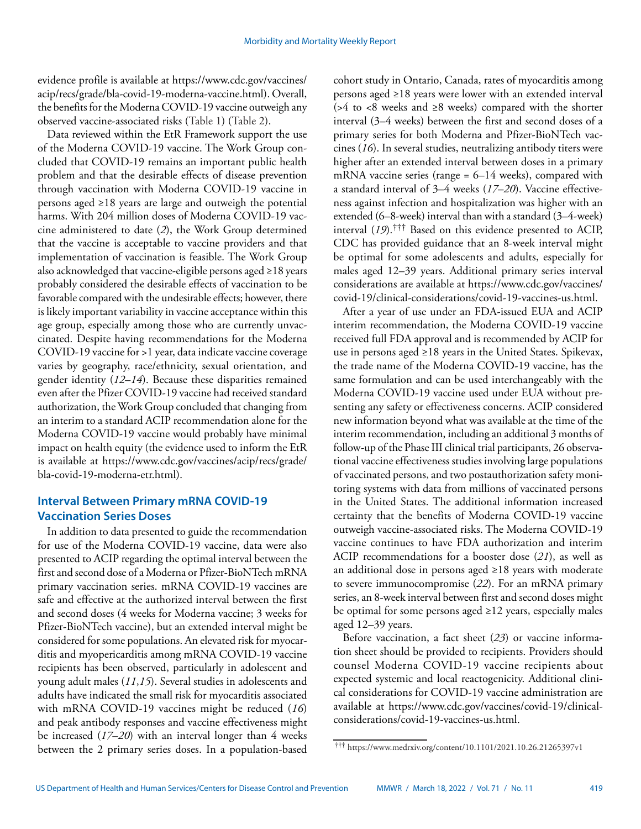evidence profile is available at [https://www.cdc.gov/vaccines/](https://www.cdc.gov/vaccines/acip/recs/grade/bla-covid-19-moderna-vaccine.html) [acip/recs/grade/bla-covid-19-moderna-vaccine.html\)](https://www.cdc.gov/vaccines/acip/recs/grade/bla-covid-19-moderna-vaccine.html). Overall, the benefits for the Moderna COVID-19 vaccine outweigh any observed vaccine-associated risks (Table 1) (Table 2).

Data reviewed within the EtR Framework support the use of the Moderna COVID-19 vaccine. The Work Group concluded that COVID-19 remains an important public health problem and that the desirable effects of disease prevention through vaccination with Moderna COVID-19 vaccine in persons aged ≥18 years are large and outweigh the potential harms. With 204 million doses of Moderna COVID-19 vaccine administered to date (*2*), the Work Group determined that the vaccine is acceptable to vaccine providers and that implementation of vaccination is feasible. The Work Group also acknowledged that vaccine-eligible persons aged ≥18 years probably considered the desirable effects of vaccination to be favorable compared with the undesirable effects; however, there is likely important variability in vaccine acceptance within this age group, especially among those who are currently unvaccinated. Despite having recommendations for the Moderna COVID-19 vaccine for >1 year, data indicate vaccine coverage varies by geography, race/ethnicity, sexual orientation, and gender identity (*12*–*14*). Because these disparities remained even after the Pfizer COVID-19 vaccine had received standard authorization, the Work Group concluded that changing from an interim to a standard ACIP recommendation alone for the Moderna COVID-19 vaccine would probably have minimal impact on health equity (the evidence used to inform the EtR is available at [https://www.cdc.gov/vaccines/acip/recs/grade/](https://www.cdc.gov/vaccines/acip/recs/grade/bla-covid-19-moderna-etr.html) [bla-covid-19-moderna-etr.html](https://www.cdc.gov/vaccines/acip/recs/grade/bla-covid-19-moderna-etr.html)).

## **Interval Between Primary mRNA COVID-19 Vaccination Series Doses**

In addition to data presented to guide the recommendation for use of the Moderna COVID-19 vaccine, data were also presented to ACIP regarding the optimal interval between the first and second dose of a Moderna or Pfizer-BioNTech mRNA primary vaccination series. mRNA COVID-19 vaccines are safe and effective at the authorized interval between the first and second doses (4 weeks for Moderna vaccine; 3 weeks for Pfizer-BioNTech vaccine), but an extended interval might be considered for some populations. An elevated risk for myocarditis and myopericarditis among mRNA COVID-19 vaccine recipients has been observed, particularly in adolescent and young adult males (*11*,*15*). Several studies in adolescents and adults have indicated the small risk for myocarditis associated with mRNA COVID-19 vaccines might be reduced (*16*) and peak antibody responses and vaccine effectiveness might be increased (*17*–*20*) with an interval longer than 4 weeks between the 2 primary series doses. In a population-based

cohort study in Ontario, Canada, rates of myocarditis among persons aged ≥18 years were lower with an extended interval ( $>4$  to <8 weeks and  $\geq 8$  weeks) compared with the shorter interval (3–4 weeks) between the first and second doses of a primary series for both Moderna and Pfizer-BioNTech vaccines (*16*). In several studies, neutralizing antibody titers were higher after an extended interval between doses in a primary mRNA vaccine series (range = 6–14 weeks), compared with a standard interval of 3–4 weeks (*17*–*20*). Vaccine effectiveness against infection and hospitalization was higher with an extended (6–8-week) interval than with a standard (3–4-week) interval (*19*).††† Based on this evidence presented to ACIP, CDC has provided guidance that an 8-week interval might be optimal for some adolescents and adults, especially for males aged 12–39 years. Additional primary series interval considerations are available at [https://www.cdc.gov/vaccines/](https://www.cdc.gov/vaccines/covid-19/clinical-considerations/covid-19-vaccines-us.html) [covid-19/clinical-considerations/covid-19-vaccines-us.html.](https://www.cdc.gov/vaccines/covid-19/clinical-considerations/covid-19-vaccines-us.html)

After a year of use under an FDA-issued EUA and ACIP interim recommendation, the Moderna COVID-19 vaccine received full FDA approval and is recommended by ACIP for use in persons aged ≥18 years in the United States. Spikevax, the trade name of the Moderna COVID-19 vaccine, has the same formulation and can be used interchangeably with the Moderna COVID-19 vaccine used under EUA without presenting any safety or effectiveness concerns. ACIP considered new information beyond what was available at the time of the interim recommendation, including an additional 3 months of follow-up of the Phase III clinical trial participants, 26 observational vaccine effectiveness studies involving large populations of vaccinated persons, and two postauthorization safety monitoring systems with data from millions of vaccinated persons in the United States. The additional information increased certainty that the benefits of Moderna COVID-19 vaccine outweigh vaccine-associated risks. The Moderna COVID-19 vaccine continues to have FDA authorization and interim ACIP recommendations for a booster dose (*21*), as well as an additional dose in persons aged ≥18 years with moderate to severe immunocompromise (*22*). For an mRNA primary series, an 8-week interval between first and second doses might be optimal for some persons aged ≥12 years, especially males aged 12–39 years.

Before vaccination, a fact sheet (*23*) or vaccine information sheet should be provided to recipients. Providers should counsel Moderna COVID-19 vaccine recipients about expected systemic and local reactogenicity. Additional clinical considerations for COVID-19 vaccine administration are available at [https://www.cdc.gov/vaccines/covid-19/clinical](https://www.cdc.gov/vaccines/covid-19/clinical-considerations/covid-19-vaccines-us.html)[considerations/covid-19-vaccines-us.html](https://www.cdc.gov/vaccines/covid-19/clinical-considerations/covid-19-vaccines-us.html).

<sup>†††</sup> <https://www.medrxiv.org/content/10.1101/2021.10.26.21265397v1>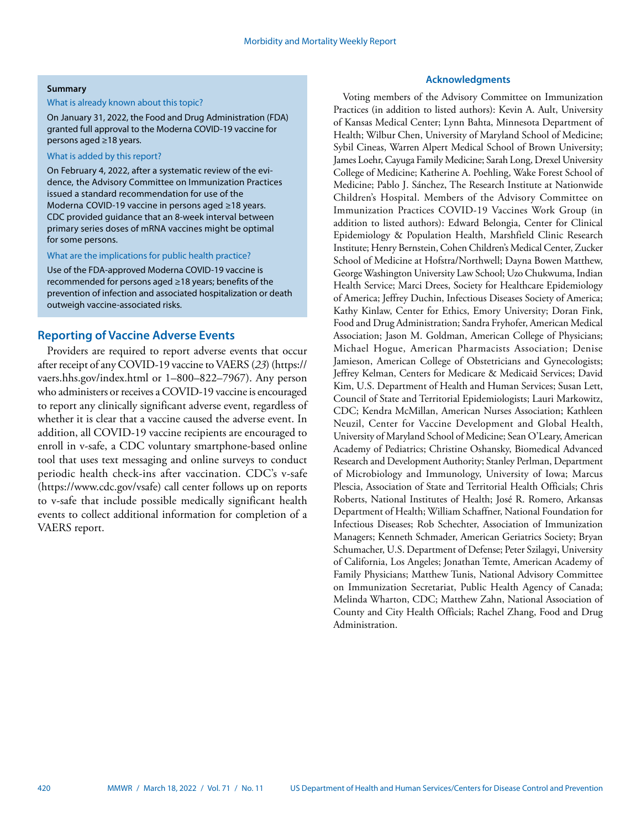#### **Summary**

#### What is already known about this topic?

On January 31, 2022, the Food and Drug Administration (FDA) granted full approval to the Moderna COVID-19 vaccine for persons aged ≥18 years.

#### What is added by this report?

On February 4, 2022, after a systematic review of the evidence, the Advisory Committee on Immunization Practices issued a standard recommendation for use of the Moderna COVID-19 vaccine in persons aged ≥18 years. CDC provided guidance that an 8-week interval between primary series doses of mRNA vaccines might be optimal for some persons.

#### What are the implications for public health practice?

Use of the FDA-approved Moderna COVID-19 vaccine is recommended for persons aged ≥18 years; benefits of the prevention of infection and associated hospitalization or death outweigh vaccine-associated risks.

### **Reporting of Vaccine Adverse Events**

Providers are required to report adverse events that occur after receipt of any COVID-19 vaccine to VAERS (*23*) ([https://](https://vaers.hhs.gov/index.html) [vaers.hhs.gov/index.html](https://vaers.hhs.gov/index.html) or 1–800–822–7967). Any person who administers or receives a COVID-19 vaccine is encouraged to report any clinically significant adverse event, regardless of whether it is clear that a vaccine caused the adverse event. In addition, all COVID-19 vaccine recipients are encouraged to enroll in v-safe, a CDC voluntary smartphone-based online tool that uses text messaging and online surveys to conduct periodic health check-ins after vaccination. CDC's v-safe ([https://www.cdc.gov/vsafe\)](https://www.cdc.gov/vsafe) call center follows up on reports to v-safe that include possible medically significant health events to collect additional information for completion of a VAERS report.

#### **Acknowledgments**

Voting members of the Advisory Committee on Immunization Practices (in addition to listed authors): Kevin A. Ault, University of Kansas Medical Center; Lynn Bahta, Minnesota Department of Health; Wilbur Chen, University of Maryland School of Medicine; Sybil Cineas, Warren Alpert Medical School of Brown University; James Loehr, Cayuga Family Medicine; Sarah Long, Drexel University College of Medicine; Katherine A. Poehling, Wake Forest School of Medicine; Pablo J. Sánchez, The Research Institute at Nationwide Children's Hospital. Members of the Advisory Committee on Immunization Practices COVID-19 Vaccines Work Group (in addition to listed authors): Edward Belongia, Center for Clinical Epidemiology & Population Health, Marshfield Clinic Research Institute; Henry Bernstein, Cohen Children's Medical Center, Zucker School of Medicine at Hofstra/Northwell; Dayna Bowen Matthew, George Washington University Law School; Uzo Chukwuma, Indian Health Service; Marci Drees, Society for Healthcare Epidemiology of America; Jeffrey Duchin, Infectious Diseases Society of America; Kathy Kinlaw, Center for Ethics, Emory University; Doran Fink, Food and Drug Administration; Sandra Fryhofer, American Medical Association; Jason M. Goldman, American College of Physicians; Michael Hogue, American Pharmacists Association; Denise Jamieson, American College of Obstetricians and Gynecologists; Jeffrey Kelman, Centers for Medicare & Medicaid Services; David Kim, U.S. Department of Health and Human Services; Susan Lett, Council of State and Territorial Epidemiologists; Lauri Markowitz, CDC; Kendra McMillan, American Nurses Association; Kathleen Neuzil, Center for Vaccine Development and Global Health, University of Maryland School of Medicine; Sean O'Leary, American Academy of Pediatrics; Christine Oshansky, Biomedical Advanced Research and Development Authority; Stanley Perlman, Department of Microbiology and Immunology, University of Iowa; Marcus Plescia, Association of State and Territorial Health Officials; Chris Roberts, National Institutes of Health; José R. Romero, Arkansas Department of Health; William Schaffner, National Foundation for Infectious Diseases; Rob Schechter, Association of Immunization Managers; Kenneth Schmader, American Geriatrics Society; Bryan Schumacher, U.S. Department of Defense; Peter Szilagyi, University of California, Los Angeles; Jonathan Temte, American Academy of Family Physicians; Matthew Tunis, National Advisory Committee on Immunization Secretariat, Public Health Agency of Canada; Melinda Wharton, CDC; Matthew Zahn, National Association of County and City Health Officials; Rachel Zhang, Food and Drug Administration.